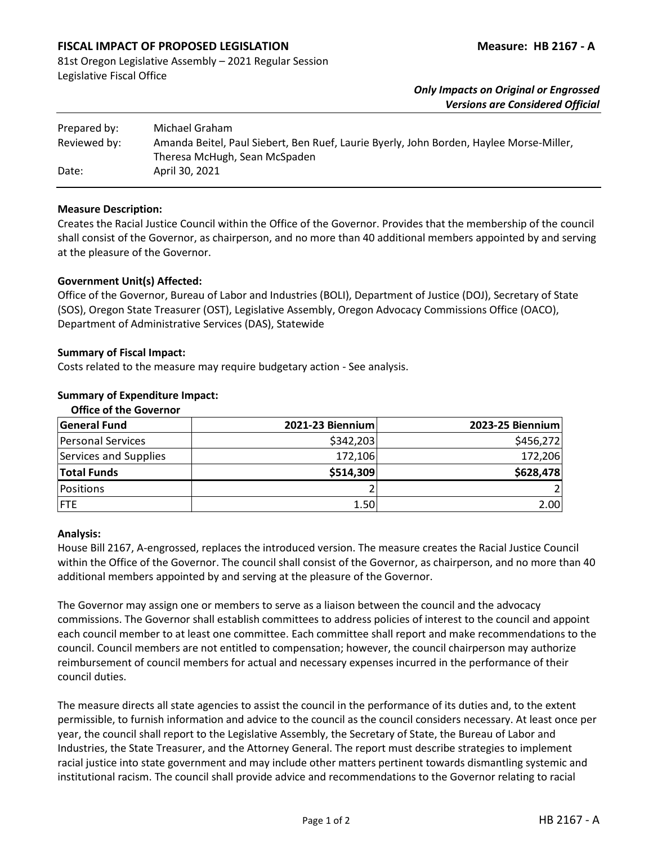# **FISCAL IMPACT OF PROPOSED LEGISLATION Measure: HB 2167 - A**

81st Oregon Legislative Assembly – 2021 Regular Session Legislative Fiscal Office

## *Only Impacts on Original or Engrossed Versions are Considered Official*

| Prepared by: | Michael Graham                                                                                                           |
|--------------|--------------------------------------------------------------------------------------------------------------------------|
| Reviewed by: | Amanda Beitel, Paul Siebert, Ben Ruef, Laurie Byerly, John Borden, Haylee Morse-Miller,<br>Theresa McHugh, Sean McSpaden |
| Date:        | April 30, 2021                                                                                                           |

#### **Measure Description:**

Creates the Racial Justice Council within the Office of the Governor. Provides that the membership of the council shall consist of the Governor, as chairperson, and no more than 40 additional members appointed by and serving at the pleasure of the Governor.

### **Government Unit(s) Affected:**

Office of the Governor, Bureau of Labor and Industries (BOLI), Department of Justice (DOJ), Secretary of State (SOS), Oregon State Treasurer (OST), Legislative Assembly, Oregon Advocacy Commissions Office (OACO), Department of Administrative Services (DAS), Statewide

### **Summary of Fiscal Impact:**

Costs related to the measure may require budgetary action - See analysis.

### **Summary of Expenditure Impact:**

| <b>Office of the Governor</b> |                  |                  |
|-------------------------------|------------------|------------------|
| <b>General Fund</b>           | 2021-23 Biennium | 2023-25 Biennium |
| <b>Personal Services</b>      | \$342,203        | \$456,272        |
| Services and Supplies         | 172,106          | 172,206          |
| <b>Total Funds</b>            | \$514,309        | \$628,478        |
| Positions                     |                  |                  |
| <b>FTE</b>                    | 1.50             | 2.00             |

#### **Analysis:**

House Bill 2167, A-engrossed, replaces the introduced version. The measure creates the Racial Justice Council within the Office of the Governor. The council shall consist of the Governor, as chairperson, and no more than 40 additional members appointed by and serving at the pleasure of the Governor.

The Governor may assign one or members to serve as a liaison between the council and the advocacy commissions. The Governor shall establish committees to address policies of interest to the council and appoint each council member to at least one committee. Each committee shall report and make recommendations to the council. Council members are not entitled to compensation; however, the council chairperson may authorize reimbursement of council members for actual and necessary expenses incurred in the performance of their council duties.

The measure directs all state agencies to assist the council in the performance of its duties and, to the extent permissible, to furnish information and advice to the council as the council considers necessary. At least once per year, the council shall report to the Legislative Assembly, the Secretary of State, the Bureau of Labor and Industries, the State Treasurer, and the Attorney General. The report must describe strategies to implement racial justice into state government and may include other matters pertinent towards dismantling systemic and institutional racism. The council shall provide advice and recommendations to the Governor relating to racial